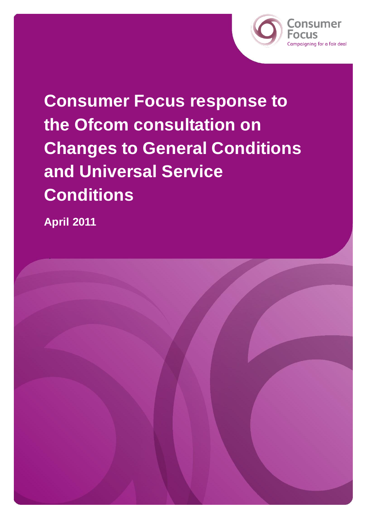

**Consumer Focus response to the Ofcom consultation on Changes to General Conditions and Universal Service Conditions** 

**April 2011**

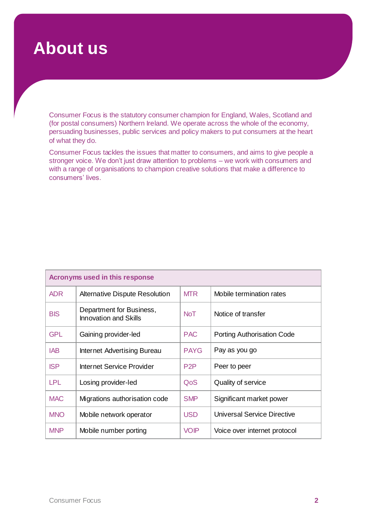### **About us**

Consumer Focus is the statutory consumer champion for England, Wales, Scotland and (for postal consumers) Northern Ireland. We operate across the whole of the economy, persuading businesses, public services and policy makers to put consumers at the heart of what they do.

Consumer Focus tackles the issues that matter to consumers, and aims to give people a stronger voice. We don't just draw attention to problems – we work with consumers and with a range of organisations to champion creative solutions that make a difference to consumers' lives.

| Acronyms used in this response |                                                   |                  |                                   |
|--------------------------------|---------------------------------------------------|------------------|-----------------------------------|
| <b>ADR</b>                     | <b>Alternative Dispute Resolution</b>             | <b>MTR</b>       | Mobile termination rates          |
| <b>BIS</b>                     | Department for Business,<br>Innovation and Skills | <b>NoT</b>       | Notice of transfer                |
| <b>GPL</b>                     | Gaining provider-led                              | <b>PAC</b>       | <b>Porting Authorisation Code</b> |
| <b>IAB</b>                     | Internet Advertising Bureau                       | <b>PAYG</b>      | Pay as you go                     |
| <b>ISP</b>                     | Internet Service Provider                         | P <sub>2</sub> P | Peer to peer                      |
| <b>LPL</b>                     | Losing provider-led                               | QoS              | Quality of service                |
| <b>MAC</b>                     | Migrations authorisation code                     | <b>SMP</b>       | Significant market power          |
| <b>MNO</b>                     | Mobile network operator                           | <b>USD</b>       | Universal Service Directive       |
| <b>MNP</b>                     | Mobile number porting                             | <b>VOIP</b>      | Voice over internet protocol      |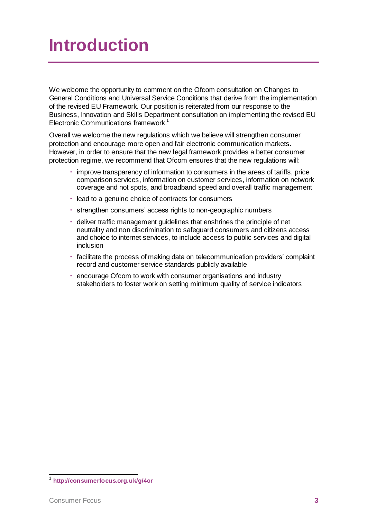## **Introduction**

We welcome the opportunity to comment on the Ofcom consultation on Changes to General Conditions and Universal Service Conditions that derive from the implementation of the revised EU Framework. Our position is reiterated from our response to the Business, Innovation and Skills Department consultation on implementing the revised EU Electronic Communications framework. 1

Overall we welcome the new regulations which we believe will strengthen consumer protection and encourage more open and fair electronic communication markets. However, in order to ensure that the new legal framework provides a better consumer protection regime, we recommend that Ofcom ensures that the new regulations will:

- improve transparency of information to consumers in the areas of tariffs, price comparison services, information on customer services, information on network coverage and not spots, and broadband speed and overall traffic management
- lead to a genuine choice of contracts for consumers
- strengthen consumers' access rights to non-geographic numbers
- deliver traffic management guidelines that enshrines the principle of net neutrality and non discrimination to safeguard consumers and citizens access and choice to internet services, to include access to public services and digital inclusion
- facilitate the process of making data on telecommunication providers' complaint record and customer service standards publicly available
- encourage Ofcom to work with consumer organisations and industry stakeholders to foster work on setting minimum quality of service indicators

 1 **<http://consumerfocus.org.uk/g/4or>**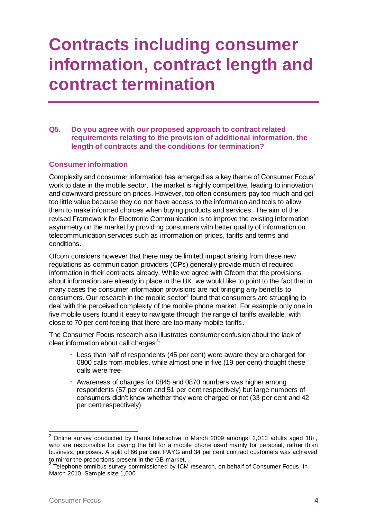## **Contracts including consumer information, contract length and contract termination**

**Q5. Do you agree with our proposed approach to contract related requirements relating to the provision of additional information, the length of contracts and the conditions for termination?** 

#### **Consumer information**

Complexity and consumer information has emerged as a key theme of Consumer Focus' work to date in the mobile sector. The market is highly competitive, leading to innovation and downward pressure on prices. However, too often consumers pay too much and get too little value because they do not have access to the information and tools to allow them to make informed choices when buying products and services. The aim of the revised Framework for Electronic Communication is to improve the existing information asymmetry on the market by providing consumers with better quality of information on telecommunication services such as information on prices, tariffs and terms and conditions.

Ofcom considers however that there may be limited impact arising from these new regulations as communication providers (CPs) generally provide much of required information in their contracts already. While we agree with Ofcom that the provisions about information are already in place in the UK, we would like to point to the fact that in many cases the consumer information provisions are not bringing any benefits to consumers. Our research in the mobile sector<sup>2</sup> found that consumers are struggling to deal with the perceived complexity of the mobile phone market. For example only one in five mobile users found it easy to navigate through the range of tariffs available, with close to 70 per cent feeling that there are too many mobile tariffs.

The Consumer Focus research also illustrates consumer confusion about the lack of clear information about call charges<sup>3</sup>:

- Less than half of respondents (45 per cent) were aware they are charged for 0800 calls from mobiles, while almost one in five (19 per cent) thought these calls were free
- Awareness of charges for 0845 and 0870 numbers was higher among respondents (57 per cent and 51 per cent respectively) but large numbers of consumers didn't know whether they were charged or not (33 per cent and 42 per cent respectively)

<sup>&</sup>lt;sup>2</sup> Online survey conducted by Harris Interactive in March 2009 amongst 2,013 adults aged 18+, who are responsible for paying the bill for a mobile phone used mainly for personal, rather th an business, purposes. A split of 66 per cent PAYG and 34 per cent contract customers was achieved to mirror the proportions present in the GB market.

 $^3$  Telephone omnibus survey commissioned by ICM research, on behalf of Consumer Focus, in March 2010. Sample size 1,000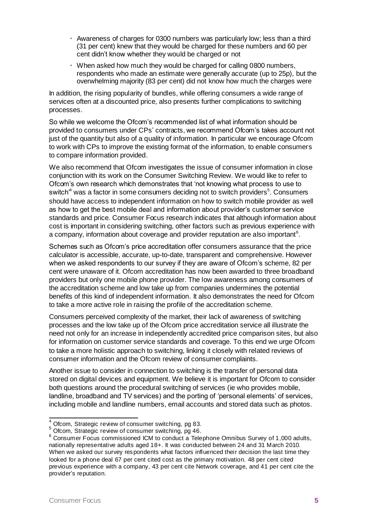- Awareness of charges for 0300 numbers was particularly low; less than a third (31 per cent) knew that they would be charged for these numbers and 60 per cent didn't know whether they would be charged or not
- When asked how much they would be charged for calling 0800 numbers, respondents who made an estimate were generally accurate (up to 25p), but the overwhelming majority (83 per cent) did not know how much the charges were

In addition, the rising popularity of bundles, while offering consumers a wide range of services often at a discounted price, also presents further complications to switching processes.

So while we welcome the Ofcom's recommended list of what information should be provided to consumers under CPs' contracts, we recommend Ofcom's takes account not just of the quantity but also of a quality of information. In particular we encourage Ofcom to work with CPs to improve the existing format of the information, to enable consumers to compare information provided.

We also recommend that Ofcom investigates the issue of consumer information in close conjunction with its work on the Consumer Switching Review. We would like to refer to Ofcom's own research which demonstrates that 'not knowing what process to use to switch $4$  was a factor in some consumers deciding not to switch providers $5$ . Consumers should have access to independent information on how to switch mobile provider as well as how to get the best mobile deal and information about provider's customer service standards and price. Consumer Focus research indicates that although information about cost is important in considering switching, other factors such as previous experience with a company, information about coverage and provider reputation are also important<sup>6</sup>.

Schemes such as Ofcom's price accreditation offer consumers assurance that the price calculator is accessible, accurate, up-to-date, transparent and comprehensive. However when we asked respondents to our survey if they are aware of Ofcom's scheme, 82 per cent were unaware of it. Ofcom accreditation has now been awarded to three broadband providers but only one mobile phone provider. The low awareness among consumers of the accreditation scheme and low take up from companies undermines the potential benefits of this kind of independent information. It also demonstrates the need for Ofcom to take a more active role in raising the profile of the accreditation scheme.

Consumers perceived complexity of the market, their lack of awareness of switching processes and the low take up of the Ofcom price accreditation service all illustrate the need not only for an increase in independently accredited price comparison sites, but also for information on customer service standards and coverage. To this end we urge Ofcom to take a more holistic approach to switching, linking it closely with related reviews of consumer information and the Ofcom review of consumer complaints.

Another issue to consider in connection to switching is the transfer of personal data stored on digital devices and equipment. We believe it is important for Ofcom to consider both questions around the procedural switching of services (ie who provides mobile, landline, broadband and TV services) and the porting of 'personal elements' of services, including mobile and landline numbers, email accounts and stored data such as photos.

 $^{4}$  Ofcom, Strategic review of consumer switching, pg 83.

<sup>5</sup> Ofcom, Strategic review of consumer switching, pg 46.

<sup>6</sup> Consumer Focus commissioned ICM to conduct a Telephone Omnibus Survey of 1,000 adults, nationally representative adults aged 18+. It was conducted between 24 and 31 March 2010. When we asked our survey respondents what factors influenced their decision the last time they looked for a phone deal 67 per cent cited cost as the primary motivation. 48 per cent cited previous experience with a company, 43 per cent cite Network coverage, and 41 per cent cite the provider's reputation.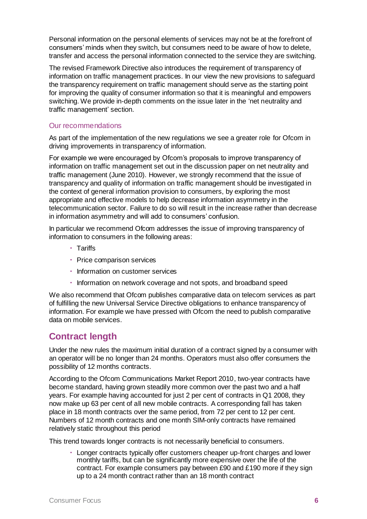Personal information on the personal elements of services may not be at the forefront of consumers' minds when they switch, but consumers need to be aware of how to delete, transfer and access the personal information connected to the service they are switching.

The revised Framework Directive also introduces the requirement of transparency of information on traffic management practices. In our view the new provisions to safeguard the transparency requirement on traffic management should serve as the starting point for improving the quality of consumer information so that it is meaningful and empowers switching. We provide in-depth comments on the issue later in the 'net neutrality and traffic management' section.

#### Our recommendations

As part of the implementation of the new regulations we see a greater role for Ofcom in driving improvements in transparency of information.

For example we were encouraged by Ofcom's proposals to improve transparency of information on traffic management set out in the discussion paper on net neutrality and traffic management (June 2010). However, we strongly recommend that the issue of transparency and quality of information on traffic management should be investigated in the context of general information provision to consumers, by exploring the most appropriate and effective models to help decrease information asymmetry in the telecommunication sector. Failure to do so will result in the increase rather than decrease in information asymmetry and will add to consumers' confusion.

In particular we recommend Ofcom addresses the issue of improving transparency of information to consumers in the following areas:

- Tariffs
- Price comparison services
- Information on customer services
- $\cdot$  Information on network coverage and not spots, and broadband speed

We also recommend that Ofcom publishes comparative data on telecom services as part of fulfilling the new Universal Service Directive obligations to enhance transparency of information. For example we have pressed with Ofcom the need to publish comparative data on mobile services.

### **Contract length**

Under the new rules the maximum initial duration of a contract signed by a consumer with an operator will be no longer than 24 months. Operators must also offer consumers the possibility of 12 months contracts.

According to the Ofcom Communications Market Report 2010, two-year contracts have become standard, having grown steadily more common over the past two and a half years. For example having accounted for just 2 per cent of contracts in Q1 2008, they now make up 63 per cent of all new mobile contracts. A corresponding fall has taken place in 18 month contracts over the same period, from 72 per cent to 12 per cent. Numbers of 12 month contracts and one month SIM-only contracts have remained relatively static throughout this period

This trend towards longer contracts is not necessarily beneficial to consumers.

 Longer contracts typically offer customers cheaper up-front charges and lower monthly tariffs, but can be significantly more expensive over the life of the contract. For example consumers pay between £90 and £190 more if they sign up to a 24 month contract rather than an 18 month contract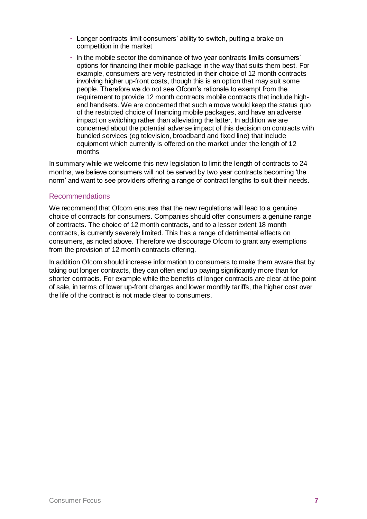- Longer contracts limit consumers' ability to switch, putting a brake on competition in the market
- In the mobile sector the dominance of two year contracts limits consumers' options for financing their mobile package in the way that suits them best. For example, consumers are very restricted in their choice of 12 month contracts involving higher up-front costs, though this is an option that may suit some people. Therefore we do not see Ofcom's rationale to exempt from the requirement to provide 12 month contracts mobile contracts that include highend handsets. We are concerned that such a move would keep the status quo of the restricted choice of financing mobile packages, and have an adverse impact on switching rather than alleviating the latter. In addition we are concerned about the potential adverse impact of this decision on contracts with bundled services (eg television, broadband and fixed line) that include equipment which currently is offered on the market under the length of 12 months

In summary while we welcome this new legislation to limit the length of contracts to 24 months, we believe consumers will not be served by two year contracts becoming 'the norm' and want to see providers offering a range of contract lengths to suit their needs.

#### Recommendations

We recommend that Ofcom ensures that the new regulations will lead to a genuine choice of contracts for consumers. Companies should offer consumers a genuine range of contracts. The choice of 12 month contracts, and to a lesser extent 18 month contracts, is currently severely limited. This has a range of detrimental effects on consumers, as noted above. Therefore we discourage Ofcom to grant any exemptions from the provision of 12 month contracts offering.

In addition Ofcom should increase information to consumers to make them aware that by taking out longer contracts, they can often end up paying significantly more than for shorter contracts. For example while the benefits of longer contracts are clear at the point of sale, in terms of lower up-front charges and lower monthly tariffs, the higher cost over the life of the contract is not made clear to consumers.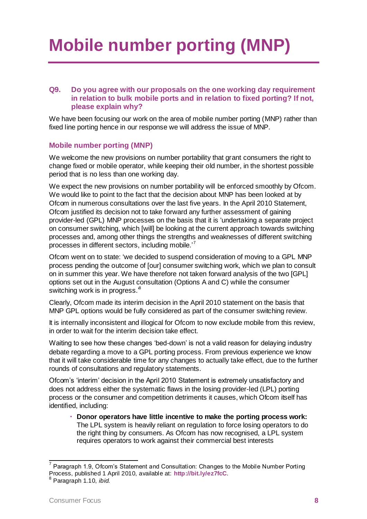# **Mobile number porting (MNP)**

#### **Q9. Do you agree with our proposals on the one working day requirement in relation to bulk mobile ports and in relation to fixed porting? If not, please explain why?**

We have been focusing our work on the area of mobile number porting (MNP) rather than fixed line porting hence in our response we will address the issue of MNP.

#### **Mobile number porting (MNP)**

We welcome the new provisions on number portability that grant consumers the right to change fixed or mobile operator, while keeping their old number, in the shortest possible period that is no less than one working day.

We expect the new provisions on number portability will be enforced smoothly by Ofcom. We would like to point to the fact that the decision about MNP has been looked at by Ofcom in numerous consultations over the last five years. In the April 2010 Statement, Ofcom justified its decision not to take forward any further assessment of gaining provider-led (GPL) MNP processes on the basis that it is 'undertaking a separate project on consumer switching, which [will] be looking at the current approach towards switching processes and, among other things the strengths and weaknesses of different switching processes in different sectors, including mobile.'<sup>7</sup>

Ofcom went on to state: 'we decided to suspend consideration of moving to a GPL MNP process pending the outcome of [our] consumer switching work, which we plan to consult on in summer this year. We have therefore not taken forward analysis of the two [GPL] options set out in the August consultation (Options A and C) while the consumer switching work is in progress. $^8$ 

Clearly, Ofcom made its interim decision in the April 2010 statement on the basis that MNP GPL options would be fully considered as part of the consumer switching review.

It is internally inconsistent and illogical for Ofcom to now exclude mobile from this review, in order to wait for the interim decision take effect.

Waiting to see how these changes 'bed-down' is not a valid reason for delaying industry debate regarding a move to a GPL porting process. From previous experience we know that it will take considerable time for any changes to actually take effect, due to the further rounds of consultations and regulatory statements.

Ofcom's 'interim' decision in the April 2010 Statement is extremely unsatisfactory and does not address either the systematic flaws in the losing provider-led (LPL) porting process or the consumer and competition detriments it causes, which Ofcom itself has identified, including:

 **Donor operators have little incentive to make the porting process work:** The LPL system is heavily reliant on regulation to force losing operators to do the right thing by consumers. As Ofcom has now recognised, a LPL system requires operators to work against their commercial best interests

 7 Paragraph 1.9, Ofcom's Statement and Consultation: Changes to the Mobile Number Porting Process, published 1 April 2010, available at: **<http://bit.ly/ez7fcC>**.

<sup>8</sup> Paragraph 1.10, *ibid.*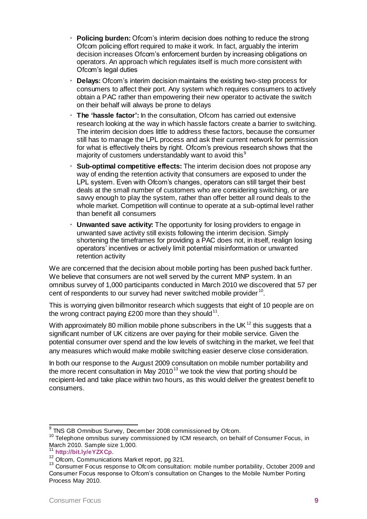- **Policing burden:** Ofcom's interim decision does nothing to reduce the strong Ofcom policing effort required to make it work. In fact, arguably the interim decision increases Ofcom's enforcement burden by increasing obligations on operators. An approach which regulates itself is much more consistent with Ofcom's legal duties
- **Delays:** Ofcom's interim decision maintains the existing two-step process for consumers to affect their port. Any system which requires consumers to actively obtain a PAC rather than empowering their new operator to activate the switch on their behalf will always be prone to delays
- **The 'hassle factor':** In the consultation, Ofcom has carried out extensive research looking at the way in which hassle factors create a barrier to switching. The interim decision does little to address these factors, because the consumer still has to manage the LPL process and ask their current network for permission for what is effectively theirs by right. Ofcom's previous research shows that the majority of customers understandably want to avoid this $9$
- **Sub-optimal competitive effects:** The interim decision does not propose any way of ending the retention activity that consumers are exposed to under the LPL system. Even with Ofcom's changes, operators can still target their best deals at the small number of customers who are considering switching, or are savvy enough to play the system, rather than offer better all round deals to the whole market. Competition will continue to operate at a sub-optimal level rather than benefit all consumers
- **Unwanted save activity:** The opportunity for losing providers to engage in unwanted save activity still exists following the interim decision. Simply shortening the timeframes for providing a PAC does not, in itself, realign losing operators' incentives or actively limit potential misinformation or unwanted retention activity

We are concerned that the decision about mobile porting has been pushed back further. We believe that consumers are not well served by the current MNP system. In an omnibus survey of 1,000 participants conducted in March 2010 we discovered that 57 per cent of respondents to our survey had never switched mobile provider  $^{10}$ .

This is worrying given billmonitor research which suggests that eight of 10 people are on the wrong contract paying £200 more than they should  $^{11}$ .

With approximately 80 million mobile phone subscribers in the UK $^{12}$  this suggests that a significant number of UK citizens are over paying for their mobile service. Given the potential consumer over spend and the low levels of switching in the market, we feel that any measures which would make mobile switching easier deserve close consideration.

In both our response to the August 2009 consultation on mobile number portability and the more recent consultation in May  $2010^{13}$  we took the view that porting should be recipient-led and take place within two hours, as this would deliver the greatest benefit to consumers.

 9 TNS GB Omnibus Survey, December 2008 commissioned by Ofcom.

 $10$  Telephone omnibus survey commissioned by ICM research, on behalf of Consumer Focus, in March 2010. Sample size 1,000.

<sup>11</sup> **<http://bit.ly/eYZXCp>**.

 $12$  Ofcom, Communications Market report, pg 321.

<sup>&</sup>lt;sup>13</sup> Consumer Focus response to Ofcom consultation: mobile number portability, October 2009 and Consumer Focus response to Ofcom's consultation on Changes to the Mobile Number Porting Process May 2010.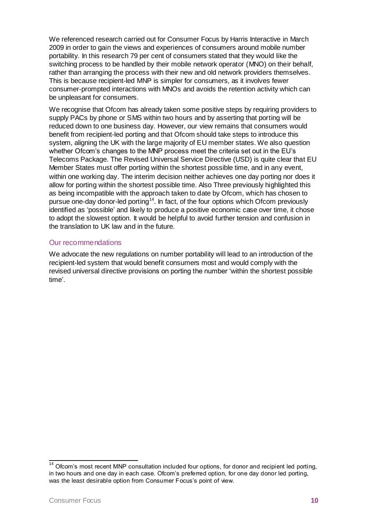We referenced research carried out for Consumer Focus by Harris Interactive in March 2009 in order to gain the views and experiences of consumers around mobile number portability. In this research 79 per cent of consumers stated that they would like the switching process to be handled by their mobile network operator (MNO) on their behalf, rather than arranging the process with their new and old network providers themselves. This is because recipient-led MNP is simpler for consumers, as it involves fewer consumer-prompted interactions with MNOs and avoids the retention activity which can be unpleasant for consumers.

We recognise that Ofcom has already taken some positive steps by requiring providers to supply PACs by phone or SMS within two hours and by asserting that porting will be reduced down to one business day. However, our view remains that consumers would benefit from recipient-led porting and that Ofcom should take steps to introduce this system, aligning the UK with the large majority of EU member states. We also question whether Ofcom's changes to the MNP process meet the criteria set out in the EU's Telecoms Package. The Revised Universal Service Directive (USD) is quite clear that EU Member States must offer porting within the shortest possible time, and in any event, within one working day. The interim decision neither achieves one day porting nor does it allow for porting within the shortest possible time. Also Three previously highlighted this as being incompatible with the approach taken to date by Ofcom, which has chosen to pursue one-day donor-led porting<sup>14</sup>. In fact, of the four options which Ofcom previously identified as 'possible' and likely to produce a positive economic case over time, it chose to adopt the slowest option. It would be helpful to avoid further tension and confusion in the translation to UK law and in the future.

#### Our recommendations

We advocate the new regulations on number portability will lead to an introduction of the recipient-led system that would benefit consumers most and would comply with the revised universal directive provisions on porting the number 'within the shortest possible time'.

 $\overline{\phantom{a}}$ 

 $14$  Ofcom's most recent MNP consultation included four options, for donor and recipient led porting, in two hours and one day in each case. Ofcom's preferred option, for one day donor led porting, was the least desirable option from Consumer Focus's point of view.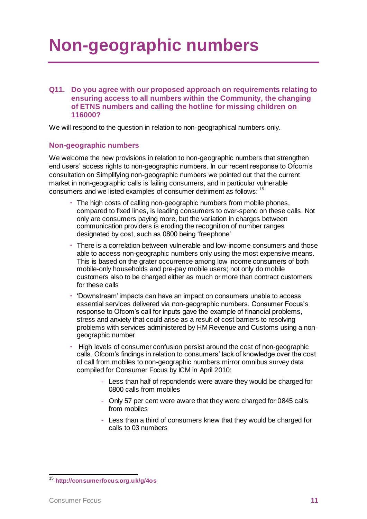## **Non-geographic numbers**

**Q11. Do you agree with our proposed approach on requirements relating to ensuring access to all numbers within the Community, the changing of ETNS numbers and calling the hotline for missing children on 116000?** 

We will respond to the question in relation to non-geographical numbers only.

#### **Non-geographic numbers**

We welcome the new provisions in relation to non-geographic numbers that strengthen end users' access rights to non-geographic numbers. In our recent response to Ofcom's consultation on Simplifying non-geographic numbers we pointed out that the current market in non-geographic calls is failing consumers, and in particular vulnerable consumers and we listed examples of consumer detriment as follows: <sup>15</sup>

- The high costs of calling non-geographic numbers from mobile phones, compared to fixed lines, is leading consumers to over-spend on these calls. Not only are consumers paying more, but the variation in charges between communication providers is eroding the recognition of number ranges designated by cost, such as 0800 being 'freephone'
- There is a correlation between vulnerable and low-income consumers and those able to access non-geographic numbers only using the most expensive means. This is based on the grater occurrence among low income consumers of both mobile-only households and pre-pay mobile users; not only do mobile customers also to be charged either as much or more than contract customers for these calls
- 'Downstream' impacts can have an impact on consumers unable to access essential services delivered via non-geographic numbers. Consumer Focus's response to Ofcom's call for inputs gave the example of financial problems, stress and anxiety that could arise as a result of cost barriers to resolving problems with services administered by HM Revenue and Customs using a nongeographic number
- High levels of consumer confusion persist around the cost of non-geographic calls. Ofcom's findings in relation to consumers' lack of knowledge over the cost of call from mobiles to non-geographic numbers mirror omnibus survey data compiled for Consumer Focus by ICM in April 2010:
	- Less than half of repondends were aware they would be charged for 0800 calls from mobiles
	- Only 57 per cent were aware that they were charged for 0845 calls from mobiles
	- Less than a third of consumers knew that they would be charged for calls to 03 numbers

<sup>15</sup> **<http://consumerfocus.org.uk/g/4os>**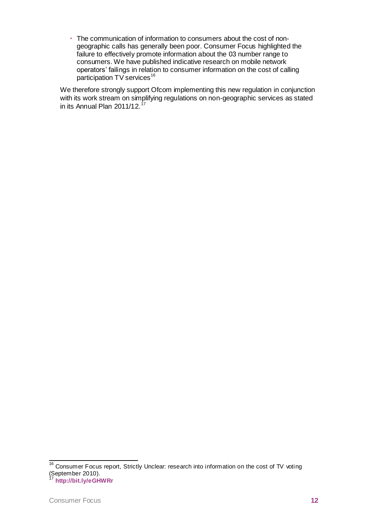The communication of information to consumers about the cost of nongeographic calls has generally been poor. Consumer Focus highlighted the failure to effectively promote information about the 03 number range to consumers. We have published indicative research on mobile network operators' failings in relation to consumer information on the cost of calling participation TV services<sup>16</sup>

We therefore strongly support Ofcom implementing this new regulation in conjunction with its work stream on simplifying regulations on non-geographic services as stated in its Annual Plan 2011/12. $17$ 

 $\overline{\phantom{a}}$ 

 $16$  Consumer Focus report, Strictly Unclear: research into information on the cost of TV voting September 2010).

<sup>17</sup> **<http://bit.ly/eGHWRr>**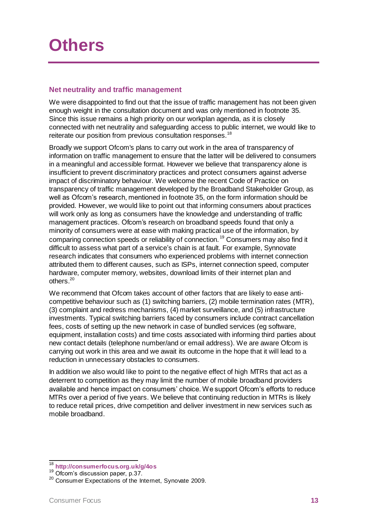### **Others**

#### **Net neutrality and traffic management**

We were disappointed to find out that the issue of traffic management has not been given enough weight in the consultation document and was only mentioned in footnote 35. Since this issue remains a high priority on our workplan agenda, as it is closely connected with net neutrality and safeguarding access to public internet, we would like to reiterate our position from previous consultation responses.<sup>18</sup>

Broadly we support Ofcom's plans to carry out work in the area of transparency of information on traffic management to ensure that the latter will be delivered to consumers in a meaningful and accessible format. However we believe that transparency alone is insufficient to prevent discriminatory practices and protect consumers against adverse impact of discriminatory behaviour. We welcome the recent Code of Practice on transparency of traffic management developed by the Broadband Stakeholder Group, as well as Ofcom's research, mentioned in footnote 35, on the form information should be provided. However, we would like to point out that informing consumers about practices will work only as long as consumers have the knowledge and understanding of traffic management practices. Ofcom's research on broadband speeds found that only a minority of consumers were at ease with making practical use of the information, by comparing connection speeds or reliability of connection.<sup>19</sup> Consumers may also find it difficult to assess what part of a service's chain is at fault. For example, Synnovate research indicates that consumers who experienced problems with internet connection attributed them to different causes, such as ISPs, internet connection speed, computer hardware, computer memory, websites, download limits of their internet plan and others.<sup>20</sup>

We recommend that Ofcom takes account of other factors that are likely to ease anticompetitive behaviour such as (1) switching barriers, (2) mobile termination rates (MTR), (3) complaint and redress mechanisms, (4) market surveillance, and (5) infrastructure investments. Typical switching barriers faced by consumers include contract cancellation fees, costs of setting up the new network in case of bundled services (eg software, equipment, installation costs) and time costs associated with informing third parties about new contact details (telephone number/and or email address). We are aware Ofcom is carrying out work in this area and we await its outcome in the hope that it will lead to a reduction in unnecessary obstacles to consumers.

In addition we also would like to point to the negative effect of high MTRs that act as a deterrent to competition as they may limit the number of mobile broadband providers available and hence impact on consumers' choice. We support Ofcom's efforts to reduce MTRs over a period of five years. We believe that continuing reduction in MTRs is likely to reduce retail prices, drive competition and deliver investment in new services such as mobile broadband.

 $\overline{\phantom{a}}$ 

<sup>18</sup> **<http://consumerfocus.org.uk/g/4os>**

<sup>&</sup>lt;sup>19</sup> Ofcom's discussion paper, p.37.

<sup>&</sup>lt;sup>20</sup> Consumer Expectations of the Internet, Synovate 2009.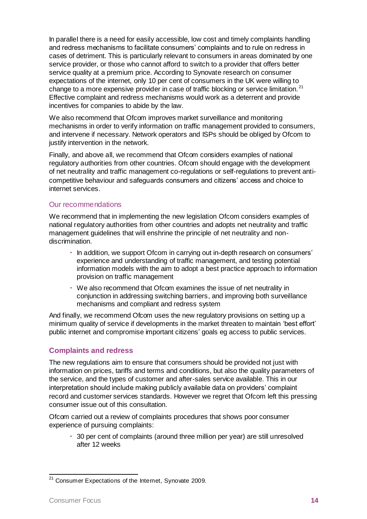In parallel there is a need for easily accessible, low cost and timely complaints handling and redress mechanisms to facilitate consumers' complaints and to rule on redress in cases of detriment. This is particularly relevant to consumers in areas dominated by one service provider, or those who cannot afford to switch to a provider that offers better service quality at a premium price. According to Synovate research on consumer expectations of the internet, only 10 per cent of consumers in the UK were willing to change to a more expensive provider in case of traffic blocking or service limitation.<sup>21</sup> Effective complaint and redress mechanisms would work as a deterrent and provide incentives for companies to abide by the law.

We also recommend that Ofcom improves market surveillance and monitoring mechanisms in order to verify information on traffic management provided to consumers, and intervene if necessary. Network operators and ISPs should be obliged by Ofcom to justify intervention in the network.

Finally, and above all, we recommend that Ofcom considers examples of national regulatory authorities from other countries. Ofcom should engage with the development of net neutrality and traffic management co-regulations or self-regulations to prevent anticompetitive behaviour and safeguards consumers and citizens' access and choice to internet services.

#### Our recommendations

We recommend that in implementing the new legislation Ofcom considers examples of national regulatory authorities from other countries and adopts net neutrality and traffic management guidelines that will enshrine the principle of net neutrality and nondiscrimination.

- $\cdot$  In addition, we support Ofcom in carrying out in-depth research on consumers' experience and understanding of traffic management, and testing potential information models with the aim to adopt a best practice approach to information provision on traffic management
- We also recommend that Ofcom examines the issue of net neutrality in conjunction in addressing switching barriers, and improving both surveillance mechanisms and compliant and redress system

And finally, we recommend Ofcom uses the new regulatory provisions on setting up a minimum quality of service if developments in the market threaten to maintain 'best effort' public internet and compromise important citizens' goals eg access to public services.

#### **Complaints and redress**

The new regulations aim to ensure that consumers should be provided not just with information on prices, tariffs and terms and conditions, but also the quality parameters of the service, and the types of customer and after-sales service available. This in our interpretation should include making publicly available data on providers' complaint record and customer services standards. However we regret that Ofcom left this pressing consumer issue out of this consultation.

Ofcom carried out a review of complaints procedures that shows poor consumer experience of pursuing complaints:

 30 per cent of complaints (around three million per year) are still unresolved after 12 weeks

l <sup>21</sup> Consumer Expectations of the Internet, Synovate 2009.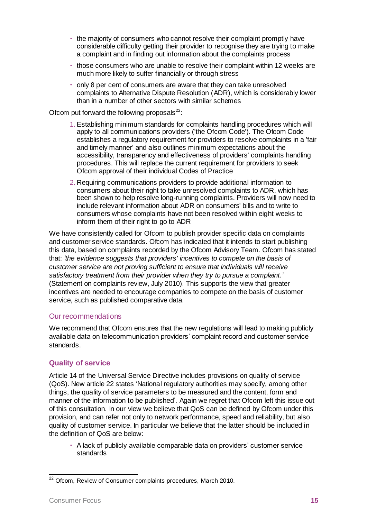- the majority of consumers who cannot resolve their complaint promptly have considerable difficulty getting their provider to recognise they are trying to make a complaint and in finding out information about the complaints process
- those consumers who are unable to resolve their complaint within 12 weeks are much more likely to suffer financially or through stress
- only 8 per cent of consumers are aware that they can take unresolved complaints to Alternative Dispute Resolution (ADR), which is considerably lower than in a number of other sectors with similar schemes

#### Ofcom put forward the following proposals $^{22}$ :

- 1. Establishing minimum standards for complaints handling procedures which will apply to all communications providers ('the Ofcom Code'). The Ofcom Code establishes a regulatory requirement for providers to resolve complaints in a 'fair and timely manner' and also outlines minimum expectations about the accessibility, transparency and effectiveness of providers' complaints handling procedures. This will replace the current requirement for providers to seek Ofcom approval of their individual Codes of Practice
- 2. Requiring communications providers to provide additional information to consumers about their right to take unresolved complaints to ADR, which has been shown to help resolve long-running complaints. Providers will now need to include relevant information about ADR on consumers' bills and to write to consumers whose complaints have not been resolved within eight weeks to inform them of their right to go to ADR

We have consistently called for Ofcom to publish provider specific data on complaints and customer service standards. Ofcom has indicated that it intends to start publishing this data, based on complaints recorded by the Ofcom Advisory Team. Ofcom has stated that: *'the evidence suggests that providers' incentives to compete on the basis of customer service are not proving sufficient to ensure that individuals will receive satisfactory treatment from their provider when they try to pursue a complaint.'* (Statement on complaints review, July 2010). This supports the view that greater incentives are needed to encourage companies to compete on the basis of customer service, such as published comparative data.

#### Our recommendations

We recommend that Ofcom ensures that the new regulations will lead to making publicly available data on telecommunication providers' complaint record and customer service standards.

#### **Quality of service**

Article 14 of the Universal Service Directive includes provisions on quality of service (QoS). New article 22 states 'National regulatory authorities may specify, among other things, the quality of service parameters to be measured and the content, form and manner of the information to be published'. Again we regret that Ofcom left this issue out of this consultation. In our view we believe that QoS can be defined by Ofcom under this provision, and can refer not only to network performance, speed and reliability, but also quality of customer service. In particular we believe that the latter should be included in the definition of QoS are below:

 A lack of publicly available comparable data on providers' customer service standards

 $^{22}$  Ofcom, Review of Consumer complaints procedures, March 2010.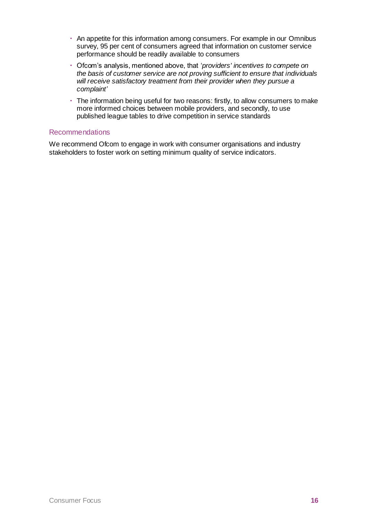- An appetite for this information among consumers. For example in our Omnibus survey, 95 per cent of consumers agreed that information on customer service performance should be readily available to consumers
- Ofcom's analysis, mentioned above, that '*providers' incentives to compete on the basis of customer service are not proving sufficient to ensure that individuals will receive satisfactory treatment from their provider when they pursue a complaint'*
- The information being useful for two reasons: firstly, to allow consumers to make more informed choices between mobile providers, and secondly, to use published league tables to drive competition in service standards

#### Recommendations

We recommend Ofcom to engage in work with consumer organisations and industry stakeholders to foster work on setting minimum quality of service indicators.